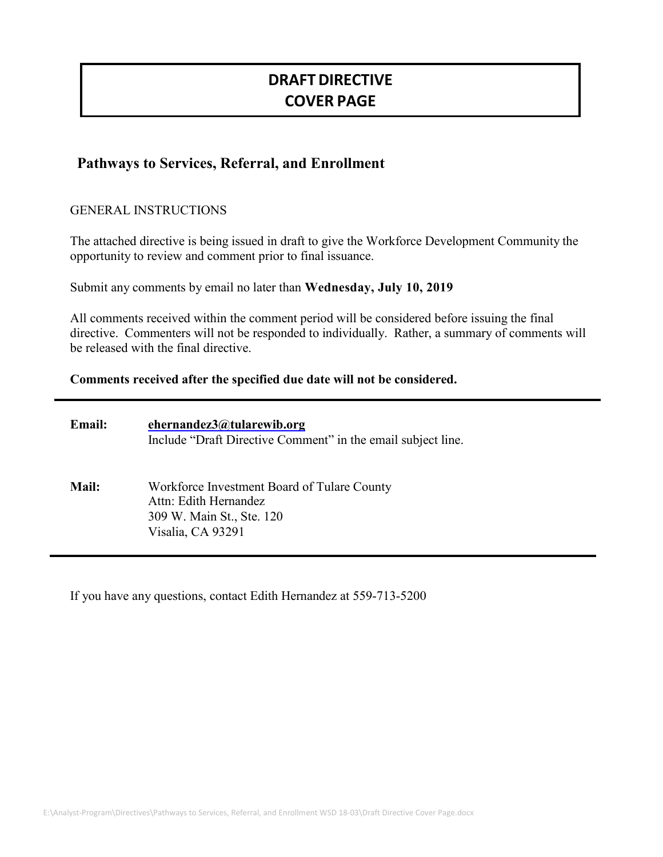# **DRAFT DIRECTIVE COVER PAGE**

# **Pathways to Services, Referral, and Enrollment**

#### GENERAL INSTRUCTIONS

The attached directive is being issued in draft to give the Workforce Development Community the opportunity to review and comment prior to final issuance.

Submit any comments by email no later than **Wednesday, July 10, 2019**

All comments received within the comment period will be considered before issuing the final directive. Commenters will not be responded to individually. Rather, a summary of comments will be released with the final directive.

#### **Comments received after the specified due date will not be considered.**

| <b>Email:</b> | ehernandez3@tularewib.org<br>Include "Draft Directive Comment" in the email subject line.                              |
|---------------|------------------------------------------------------------------------------------------------------------------------|
| <b>Mail:</b>  | Workforce Investment Board of Tulare County<br>Attn: Edith Hernandez<br>309 W. Main St., Ste. 120<br>Visalia, CA 93291 |

If you have any questions, contact Edith Hernandez at 559-713-5200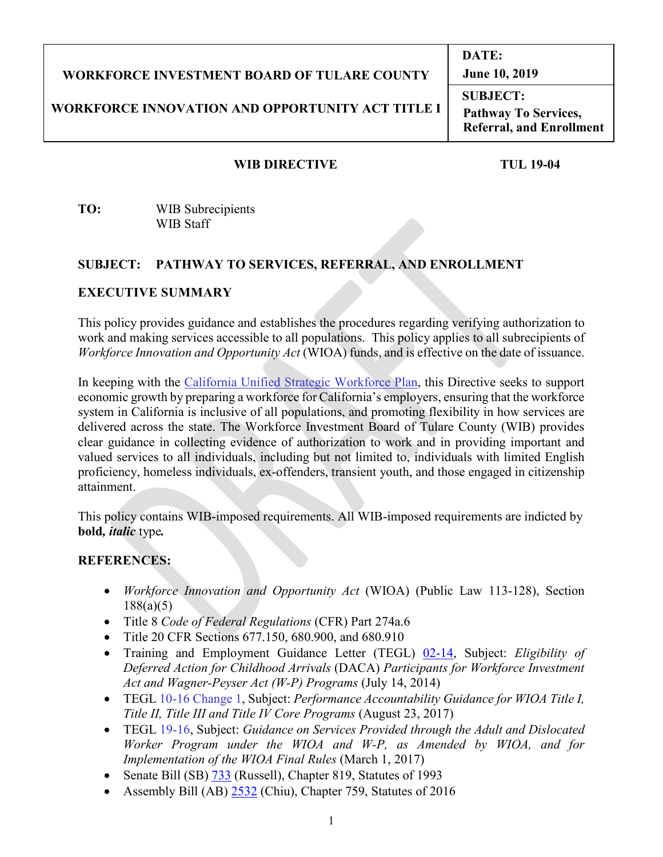# **WORKFORCE INVESTMENT BOARD OF TULARE COUNTY**

# **WORKFORCE INNOVATION AND OPPORTUNITY ACT TITLE I**

**SUBJECT: Pathway To Services, Referral, and Enrollment**

**DATE:**

**June 10, 2019**

#### **WIB DIRECTIVE TUL 19-04**

**TO:** WIB Subrecipients WIB Staff

#### **SUBJECT: PATHWAY TO SERVICES, REFERRAL, AND ENROLLMENT**

#### **EXECUTIVE SUMMARY**

This policy provides guidance and establishes the procedures regarding verifying authorization to work and making services accessible to all populations. This policy applies to all subrecipients of *Workforce Innovation and Opportunity Act* (WIOA) funds, and is effective on the date of issuance.

In keeping with the California Unified Strategic Workforce Plan, this Directive seeks to support economic growth by preparing a workforce for California's employers, ensuring that the workforce system in California is inclusive of all populations, and promoting flexibility in how services are delivered across the state. The Workforce Investment Board of Tulare County (WIB) provides clear guidance in collecting evidence of authorization to work and in providing important and valued services to all individuals, including but not limited to, individuals with limited English proficiency, homeless individuals, ex-offenders, transient youth, and those engaged in citizenship attainment.

This policy contains WIB-imposed requirements. All WIB-imposed requirements are indicted by **bold***, italic* type*.*

#### **REFERENCES:**

- *Workforce Innovation and Opportunity Act* (WIOA) (Public Law 113-128), Section 188(a)(5)
- Title 8 *Code of Federal Regulations* (CFR) Part 274a.6
- Title 20 CFR Sections 677.150, 680.900, and 680.910
- Training and Employment Guidance Letter (TEGL) 02-14, Subject: *Eligibility of Deferred Action for Childhood Arrivals* (DACA) *Participants for Workforce Investment Act and Wagner-Peyser Act (W-P) Programs* (July 14, 2014)
- TEGL 10-16 Change 1, Subject: *Performance Accountability Guidance for WIOA Title I, Title II, Title III and Title IV Core Programs* (August 23, 2017)
- TEGL 19-16, Subject: *Guidance on Services Provided through the Adult and Dislocated Worker Program under the WIOA and W-P, as Amended by WIOA, and for Implementation of the WIOA Final Rules* (March 1, 2017)
- Senate Bill (SB) 733 (Russell), Chapter 819, Statutes of 1993
- Assembly Bill (AB) 2532 (Chiu), Chapter 759, Statutes of 2016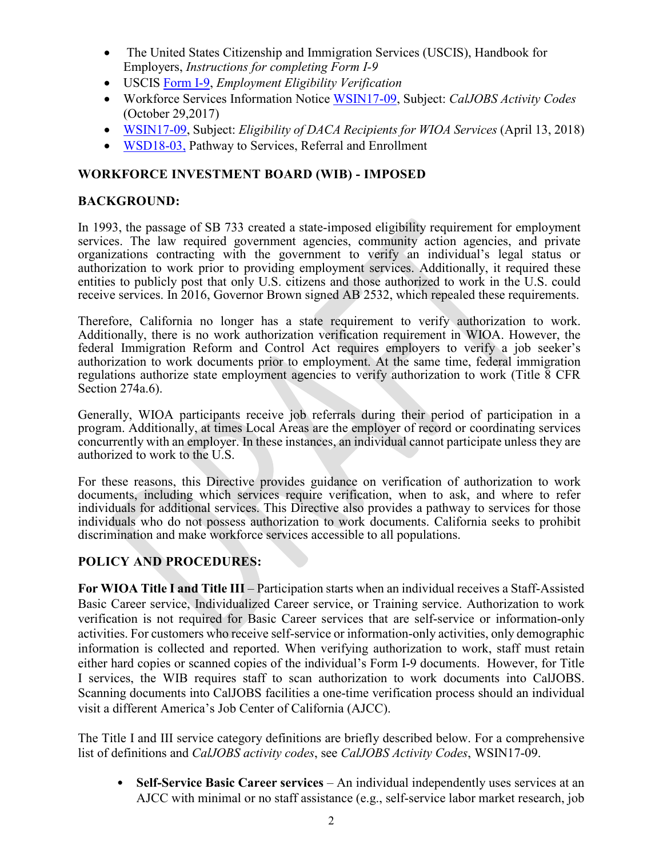- The United States Citizenship and Immigration Services (USCIS), Handbook for Employers, *Instructions for completing Form I-9*
- USCIS Form I-9, *Employment Eligibility Verification*
- Workforce Services Information Notice WSIN17-09, Subject: *CalJOBS Activity Codes* (October 29,2017)
- WSIN17-09, Subject: *Eligibility of DACA Recipients for WIOA Services* (April 13, 2018)
- WSD18-03, Pathway to Services, Referral and Enrollment

# **WORKFORCE INVESTMENT BOARD (WIB) - IMPOSED**

# **BACKGROUND:**

In 1993, the passage of SB 733 created a state-imposed eligibility requirement for employment services. The law required government agencies, community action agencies, and private organizations contracting with the government to verify an individual's legal status or authorization to work prior to providing employment services. Additionally, it required these entities to publicly post that only U.S. citizens and those authorized to work in the U.S. could receive services. In 2016, Governor Brown signed AB 2532, which repealed these requirements.

Therefore, California no longer has a state requirement to verify authorization to work. Additionally, there is no work authorization verification requirement in WIOA. However, the federal Immigration Reform and Control Act requires employers to verify a job seeker's authorization to work documents prior to employment. At the same time, federal immigration regulations authorize state employment agencies to verify authorization to work (Title 8 CFR Section 274a.6).

Generally, WIOA participants receive job referrals during their period of participation in a program. Additionally, at times Local Areas are the employer of record or coordinating services concurrently with an employer. In these instances, an individual cannot participate unless they are authorized to work to the U.S.

For these reasons, this Directive provides guidance on verification of authorization to work documents, including which services require verification, when to ask, and where to refer individuals for additional services. This Directive also provides a pathway to services for those individuals who do not possess authorization to work documents. California seeks to prohibit discrimination and make workforce services accessible to all populations.

# **POLICY AND PROCEDURES:**

**For WIOA Title I and Title III** – Participation starts when an individual receives a Staff-Assisted Basic Career service, Individualized Career service, or Training service. Authorization to work verification is not required for Basic Career services that are self-service or information-only activities. For customers who receive self-service or information-only activities, only demographic information is collected and reported. When verifying authorization to work, staff must retain either hard copies or scanned copies of the individual's Form I-9 documents. However, for Title I services, the WIB requires staff to scan authorization to work documents into CalJOBS. Scanning documents into CalJOBS facilities a one-time verification process should an individual visit a different America's Job Center of California (AJCC).

The Title I and III service category definitions are briefly described below. For a comprehensive list of definitions and *CalJOBS activity codes*, see *CalJOBS Activity Codes*, WSIN17-09.

• **Self-Service Basic Career services** – An individual independently uses services at an AJCC with minimal or no staff assistance (e.g., self-service labor market research, job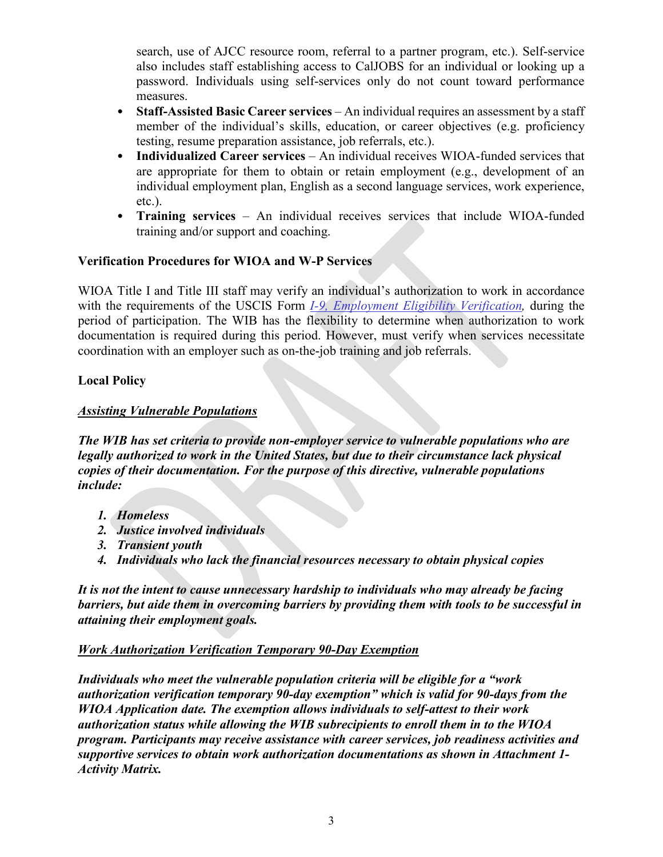search, use of AJCC resource room, referral to a partner program, etc.). Self-service also includes staff establishing access to CalJOBS for an individual or looking up a password. Individuals using self-services only do not count toward performance measures.

- **Staff-Assisted Basic Career services** An individual requires an assessment by a staff member of the individual's skills, education, or career objectives (e.g. proficiency testing, resume preparation assistance, job referrals, etc.).
- **Individualized Career services** An individual receives WIOA-funded services that are appropriate for them to obtain or retain employment (e.g., development of an individual employment plan, English as a second language services, work experience, etc.).
- **Training services** An individual receives services that include WIOA-funded training and/or support and coaching.

# **Verification Procedures for WIOA and W-P Services**

WIOA Title I and Title III staff may verify an individual's authorization to work in accordance with the requirements of the USCIS Form *I-9, Employment Eligibility Verification,* during the period of participation. The WIB has the flexibility to determine when authorization to work documentation is required during this period. However, must verify when services necessitate coordination with an employer such as on-the-job training and job referrals.

# **Local Policy**

# *Assisting Vulnerable Populations*

*The WIB has set criteria to provide non-employer service to vulnerable populations who are legally authorized to work in the United States, but due to their circumstance lack physical copies of their documentation. For the purpose of this directive, vulnerable populations include:*

- *1. Homeless*
- *2. Justice involved individuals*
- *3. Transient youth*
- *4. Individuals who lack the financial resources necessary to obtain physical copies*

*It is not the intent to cause unnecessary hardship to individuals who may already be facing barriers, but aide them in overcoming barriers by providing them with tools to be successful in attaining their employment goals.* 

# *Work Authorization Verification Temporary 90-Day Exemption*

*Individuals who meet the vulnerable population criteria will be eligible for a "work authorization verification temporary 90-day exemption" which is valid for 90-days from the WIOA Application date. The exemption allows individuals to self-attest to their work authorization status while allowing the WIB subrecipients to enroll them in to the WIOA program. Participants may receive assistance with career services, job readiness activities and supportive services to obtain work authorization documentations as shown in Attachment 1- Activity Matrix.*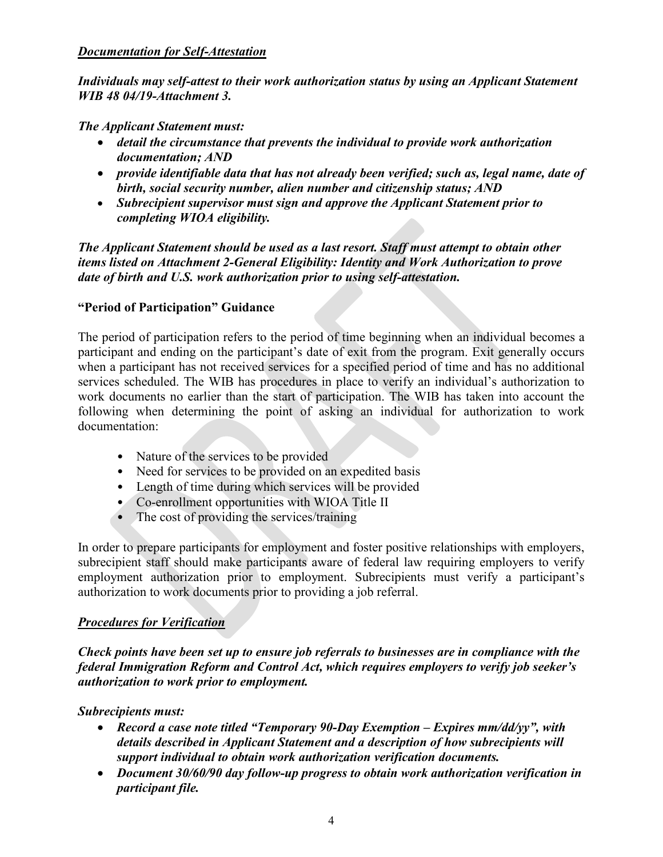#### *Documentation for Self-Attestation*

*Individuals may self-attest to their work authorization status by using an Applicant Statement WIB 48 04/19-Attachment 3.* 

#### *The Applicant Statement must:*

- *detail the circumstance that prevents the individual to provide work authorization documentation; AND*
- *provide identifiable data that has not already been verified; such as, legal name, date of birth, social security number, alien number and citizenship status; AND*
- *Subrecipient supervisor must sign and approve the Applicant Statement prior to completing WIOA eligibility.*

*The Applicant Statement should be used as a last resort. Staff must attempt to obtain other items listed on Attachment 2-General Eligibility: Identity and Work Authorization to prove date of birth and U.S. work authorization prior to using self-attestation.*

#### **"Period of Participation" Guidance**

The period of participation refers to the period of time beginning when an individual becomes a participant and ending on the participant's date of exit from the program. Exit generally occurs when a participant has not received services for a specified period of time and has no additional services scheduled. The WIB has procedures in place to verify an individual's authorization to work documents no earlier than the start of participation. The WIB has taken into account the following when determining the point of asking an individual for authorization to work documentation:

- Nature of the services to be provided
- Need for services to be provided on an expedited basis
- Length of time during which services will be provided
- Co-enrollment opportunities with WIOA Title II
- The cost of providing the services/training

In order to prepare participants for employment and foster positive relationships with employers, subrecipient staff should make participants aware of federal law requiring employers to verify employment authorization prior to employment. Subrecipients must verify a participant's authorization to work documents prior to providing a job referral.

#### *Procedures for Verification*

*Check points have been set up to ensure job referrals to businesses are in compliance with the federal Immigration Reform and Control Act, which requires employers to verify job seeker's authorization to work prior to employment.* 

# *Subrecipients must:*

- *Record a case note titled "Temporary 90-Day Exemption – Expires mm/dd/yy", with details described in Applicant Statement and a description of how subrecipients will support individual to obtain work authorization verification documents.*
- *Document 30/60/90 day follow-up progress to obtain work authorization verification in participant file.*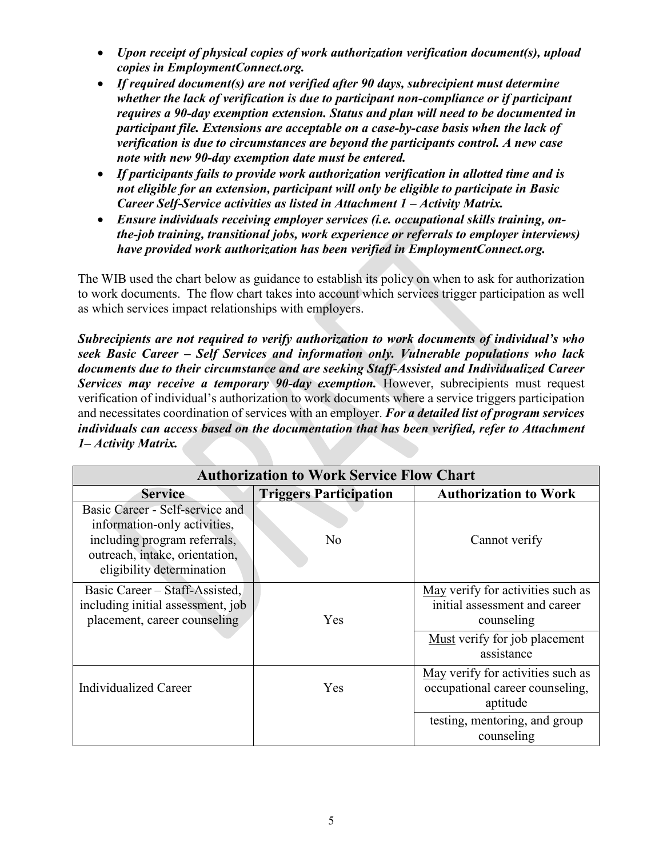- *Upon receipt of physical copies of work authorization verification document(s), upload copies in EmploymentConnect.org.*
- *If required document(s) are not verified after 90 days, subrecipient must determine whether the lack of verification is due to participant non-compliance or if participant requires a 90-day exemption extension. Status and plan will need to be documented in participant file. Extensions are acceptable on a case-by-case basis when the lack of verification is due to circumstances are beyond the participants control. A new case note with new 90-day exemption date must be entered.*
- *If participants fails to provide work authorization verification in allotted time and is not eligible for an extension, participant will only be eligible to participate in Basic Career Self-Service activities as listed in Attachment 1 – Activity Matrix.*
- *Ensure individuals receiving employer services (i.e. occupational skills training, onthe-job training, transitional jobs, work experience or referrals to employer interviews) have provided work authorization has been verified in EmploymentConnect.org.*

The WIB used the chart below as guidance to establish its policy on when to ask for authorization to work documents. The flow chart takes into account which services trigger participation as well as which services impact relationships with employers.

*Subrecipients are not required to verify authorization to work documents of individual's who seek Basic Career – Self Services and information only. Vulnerable populations who lack documents due to their circumstance and are seeking Staff-Assisted and Individualized Career Services may receive a temporary 90-day exemption.* However, subrecipients must request verification of individual's authorization to work documents where a service triggers participation and necessitates coordination of services with an employer. *For a detailed list of program services individuals can access based on the documentation that has been verified, refer to Attachment 1– Activity Matrix.*

| <b>Authorization to Work Service Flow Chart</b>                                                                                                                |                               |                                                                                  |  |  |
|----------------------------------------------------------------------------------------------------------------------------------------------------------------|-------------------------------|----------------------------------------------------------------------------------|--|--|
| <b>Service</b>                                                                                                                                                 | <b>Triggers Participation</b> | <b>Authorization to Work</b>                                                     |  |  |
| Basic Career - Self-service and<br>information-only activities,<br>including program referrals,<br>outreach, intake, orientation,<br>eligibility determination | No                            | Cannot verify                                                                    |  |  |
| Basic Career – Staff-Assisted,<br>including initial assessment, job<br>placement, career counseling                                                            | Yes                           | May verify for activities such as<br>initial assessment and career<br>counseling |  |  |
|                                                                                                                                                                |                               | Must verify for job placement<br>assistance                                      |  |  |
| Individualized Career                                                                                                                                          | Yes                           | May verify for activities such as<br>occupational career counseling,<br>aptitude |  |  |
|                                                                                                                                                                |                               | testing, mentoring, and group<br>counseling                                      |  |  |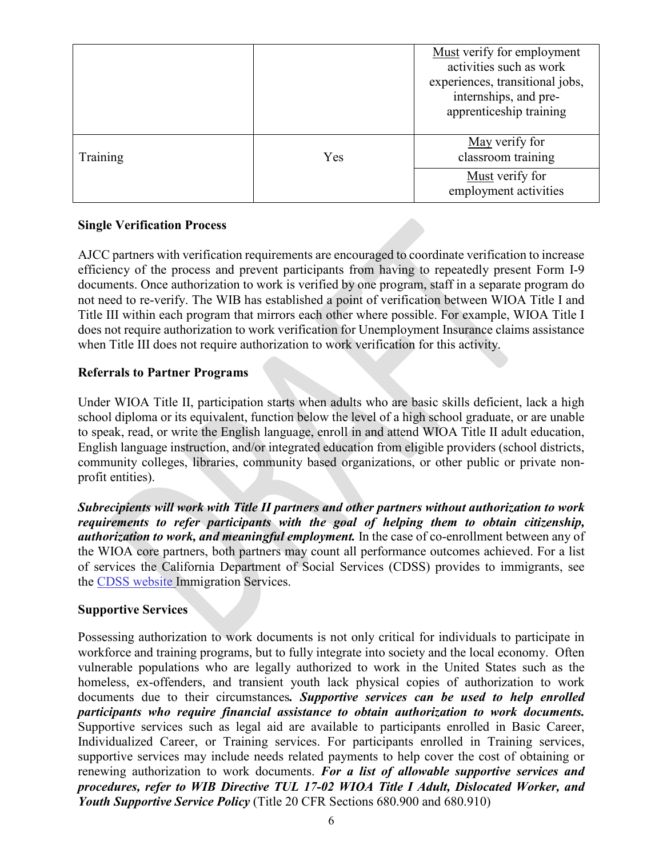|          |     | Must verify for employment<br>activities such as work<br>experiences, transitional jobs,<br>internships, and pre-<br>apprenticeship training |
|----------|-----|----------------------------------------------------------------------------------------------------------------------------------------------|
| Training | Yes | May verify for<br>classroom training                                                                                                         |
|          |     | Must verify for<br>employment activities                                                                                                     |

# **Single Verification Process**

AJCC partners with verification requirements are encouraged to coordinate verification to increase efficiency of the process and prevent participants from having to repeatedly present Form I-9 documents. Once authorization to work is verified by one program, staff in a separate program do not need to re-verify. The WIB has established a point of verification between WIOA Title I and Title III within each program that mirrors each other where possible. For example, WIOA Title I does not require authorization to work verification for Unemployment Insurance claims assistance when Title III does not require authorization to work verification for this activity.

# **Referrals to Partner Programs**

Under WIOA Title II, participation starts when adults who are basic skills deficient, lack a high school diploma or its equivalent, function below the level of a high school graduate, or are unable to speak, read, or write the English language, enroll in and attend WIOA Title II adult education, English language instruction, and/or integrated education from eligible providers (school districts, community colleges, libraries, community based organizations, or other public or private nonprofit entities).

*Subrecipients will work with Title II partners and other partners without authorization to work requirements to refer participants with the goal of helping them to obtain citizenship, authorization to work, and meaningful employment.* In the case of co-enrollment between any of the WIOA core partners, both partners may count all performance outcomes achieved. For a list of services the California Department of Social Services (CDSS) provides to immigrants, see the CDSS website Immigration Services.

# **Supportive Services**

Possessing authorization to work documents is not only critical for individuals to participate in workforce and training programs, but to fully integrate into society and the local economy. Often vulnerable populations who are legally authorized to work in the United States such as the homeless, ex-offenders, and transient youth lack physical copies of authorization to work documents due to their circumstances*. Supportive services can be used to help enrolled participants who require financial assistance to obtain authorization to work documents.*  Supportive services such as legal aid are available to participants enrolled in Basic Career, Individualized Career, or Training services. For participants enrolled in Training services, supportive services may include needs related payments to help cover the cost of obtaining or renewing authorization to work documents. *For a list of allowable supportive services and procedures, refer to WIB Directive TUL 17-02 WIOA Title I Adult, Dislocated Worker, and Youth Supportive Service Policy* (Title 20 CFR Sections 680.900 and 680.910)